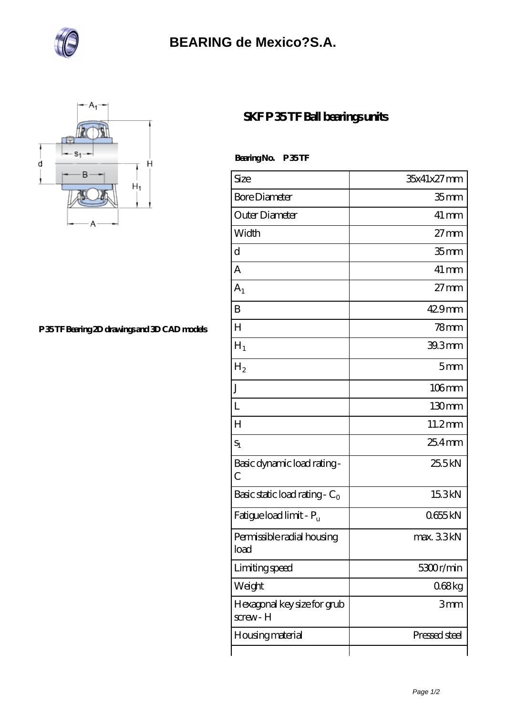

## **[BEARING de Mexico?S.A.](https://bluewormrecords.com)**



**[P 35 TF Bearing 2D drawings and 3D CAD models](https://bluewormrecords.com/pic-65113086.html)**

## **[SKF P 35 TF Ball bearings units](https://bluewormrecords.com/sell-65113086-skf-p-35-tf-ball-bearings-units.html)**

 **Bearing No. P 35 TF**

| Size                                        | 35x41x27mm         |
|---------------------------------------------|--------------------|
| <b>Bore Diameter</b>                        | 35 <sub>mm</sub>   |
| Outer Diameter                              | $41 \,\mathrm{mm}$ |
| Width                                       | $27 \text{mm}$     |
| d                                           | 35 <sub>mm</sub>   |
| A                                           | $41 \,\mathrm{mm}$ |
| A <sub>1</sub>                              | $27 \text{mm}$     |
| B                                           | $429$ mm           |
| $H_{\rm}$                                   | 78 <sub>mm</sub>   |
| $H_1$                                       | 39.3mm             |
| H <sub>2</sub>                              | 5mm                |
| J                                           | $106$ mm           |
| L                                           | 130 <sub>mm</sub>  |
| H                                           | 11.2mm             |
| $S_1$                                       | $254$ mm           |
| Basic dynamic load rating-<br>$\mathcal{C}$ | 25.5kN             |
| Basic static load rating - $C_0$            | 15.3kN             |
| Fatigue load limit - Pu                     | 0655kN             |
| Permissible radial housing<br>load          | max. 33kN          |
| Limiting speed                              | 5300r/min          |
| Weight                                      | 068kg              |
| Hexagonal key size for grub<br>screw-H      | 3mm                |
| <b>Housing material</b>                     | Pressed steel      |
|                                             |                    |